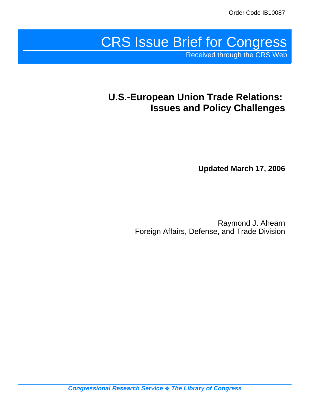# CRS Issue Brief for Congress

Received through the CRS Web

# **U.S.-European Union Trade Relations: Issues and Policy Challenges**

**Updated March 17, 2006**

Raymond J. Ahearn Foreign Affairs, Defense, and Trade Division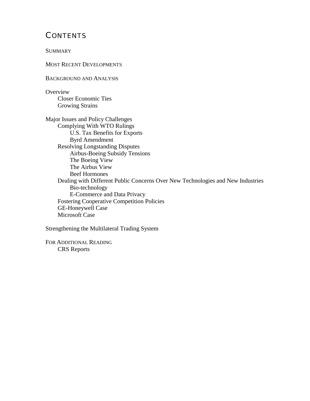# **CONTENTS**

**SUMMARY** 

MOST RECENT DEVELOPMENTS

BACKGROUND AND ANALYSIS

**Overview** Closer Economic Ties Growing Strains

Major Issues and Policy Challenges Complying With WTO Rulings U.S. Tax Benefits for Exports Byrd Amendment Resolving Longstanding Disputes Airbus-Boeing Subsidy Tensions The Boeing View The Airbus View Beef Hormones Dealing with Different Public Concerns Over New Technologies and New Industries Bio-technology E-Commerce and Data Privacy Fostering Cooperative Competition Policies GE-Honeywell Case Microsoft Case

Strengthening the Multilateral Trading System

FOR ADDITIONAL READING CRS Reports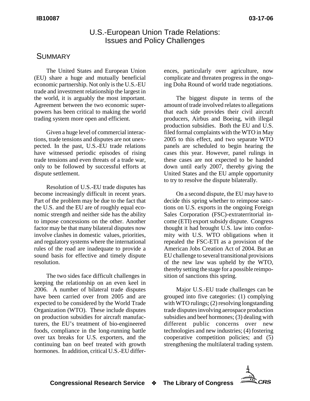# U.S.-European Union Trade Relations: Issues and Policy Challenges

# **SUMMARY**

The United States and European Union (EU) share a huge and mutually beneficial economic partnership. Not only is the U.S.-EU trade and investment relationship the largest in the world, it is arguably the most important. Agreement between the two economic superpowers has been critical to making the world trading system more open and efficient.

Given a huge level of commercial interactions, trade tensions and disputes are not unexpected. In the past, U.S.-EU trade relations have witnessed periodic episodes of rising trade tensions and even threats of a trade war, only to be followed by successful efforts at dispute settlement.

Resolution of U.S.-EU trade disputes has become increasingly difficult in recent years. Part of the problem may be due to the fact that the U.S. and the EU are of roughly equal economic strength and neither side has the ability to impose concessions on the other. Another factor may be that many bilateral disputes now involve clashes in domestic values, priorities, and regulatory systems where the international rules of the road are inadequate to provide a sound basis for effective and timely dispute resolution.

The two sides face difficult challenges in keeping the relationship on an even keel in 2006. A number of bilateral trade disputes have been carried over from 2005 and are expected to be considered by the World Trade Organization (WTO). These include disputes on production subsidies for aircraft manufacturers, the EU's treatment of bio-engineered foods, compliance in the long-running battle over tax breaks for U.S. exporters, and the continuing ban on beef treated with growth hormones. In addition, critical U.S.-EU differences, particularly over agriculture, now complicate and threaten progress in the ongoing Doha Round of world trade negotiations.

The biggest dispute in terms of the amount of trade involved relates to allegations that each side provides their civil aircraft producers, Airbus and Boeing, with illegal production subsidies. Both the EU and U.S. filed formal complaints with the WTO in May 2005 to this effect, and two separate WTO panels are scheduled to begin hearing the cases this year. However, panel rulings in these cases are not expected to be handed down until early 2007, thereby giving the United States and the EU ample opportunity to try to resolve the dispute bilaterally.

On a second dispute, the EU may have to decide this spring whether to reimpose sanctions on U.S. exports in the ongoing Foreign Sales Corporation (FSC)-extraterritorial income (ETI) export subsidy dispute. Congress thought it had brought U.S. law into conformity with U.S. WTO obligations when it repealed the FSC-ETI as a provision of the American Jobs Creation Act of 2004. But an EU challenge to several transitional provisions of the new law was upheld by the WTO, thereby setting the stage for a possible reimposition of sanctions this spring.

Major U.S.-EU trade challenges can be grouped into five categories: (1) complying with WTO rulings; (2) resolving longstanding trade disputes involving aerospace production subsidies and beef hormones; (3) dealing with different public concerns over new technologies and new industries; (4) fostering cooperative competition policies; and (5) strengthening the multilateral trading system.

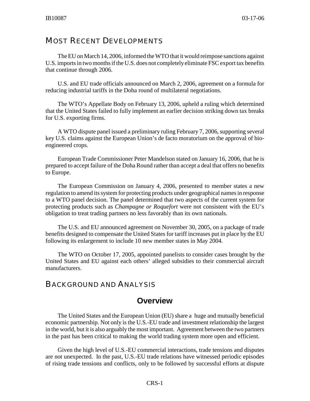# MOST RECENT DEVELOPMENTS

The EU on March 14, 2006, informed the WTO that it would reimpose sanctions against U.S. imports in two months if the U.S. does not completely eliminate FSC export tax benefits that continue through 2006.

U.S. and EU trade officials announced on March 2, 2006, agreement on a formula for reducing industrial tariffs in the Doha round of multilateral negotiations.

The WTO's Appellate Body on February 13, 2006, upheld a ruling which determined that the United States failed to fully implement an earlier decision striking down tax breaks for U.S. exporting firms.

A WTO dispute panel issued a preliminary ruling February 7, 2006, supporting several key U.S. claims against the European Union's de facto moratorium on the approval of bioengineered crops.

European Trade Commissioner Peter Mandelson stated on January 16, 2006, that he is prepared to accept failure of the Doha Round rather than accept a deal that offers no benefits to Europe.

The European Commission on January 4, 2006, presented to member states a new regulation to amend its system for protecting products under geographical names in response to a WTO panel decision. The panel determined that two aspects of the current system for protecting products such as *Champagne or Roquefort* were not consistent with the EU's obligation to treat trading partners no less favorably than its own nationals.

The U.S. and EU announced agreement on November 30, 2005, on a package of trade benefits designed to compensate the United States for tariff increases put in place by the EU following its enlargement to include 10 new member states in May 2004.

The WTO on October 17, 2005, appointed panelists to consider cases brought by the United States and EU against each others' alleged subsidies to their commercial aircraft manufacturers.

# BACKGROUND AND ANALYSIS

# **Overview**

The United States and the European Union (EU) share a huge and mutually beneficial economic partnership. Not only is the U.S.-EU trade and investment relationship the largest in the world, but it is also arguably the most important. Agreement between the two partners in the past has been critical to making the world trading system more open and efficient.

Given the high level of U.S.-EU commercial interactions, trade tensions and disputes are not unexpected. In the past, U.S.-EU trade relations have witnessed periodic episodes of rising trade tensions and conflicts, only to be followed by successful efforts at dispute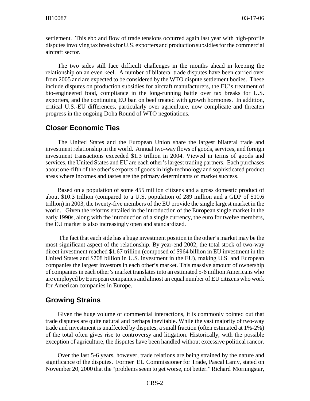settlement. This ebb and flow of trade tensions occurred again last year with high-profile disputes involving tax breaks for U.S. exporters and production subsidies for the commercial aircraft sector.

The two sides still face difficult challenges in the months ahead in keeping the relationship on an even keel. A number of bilateral trade disputes have been carried over from 2005 and are expected to be considered by the WTO dispute settlement bodies. These include disputes on production subsidies for aircraft manufacturers, the EU's treatment of bio-engineered food, compliance in the long-running battle over tax breaks for U.S. exporters, and the continuing EU ban on beef treated with growth hormones. In addition, critical U.S.-EU differences, particularly over agriculture, now complicate and threaten progress in the ongoing Doha Round of WTO negotiations.

#### **Closer Economic Ties**

The United States and the European Union share the largest bilateral trade and investment relationship in the world. Annual two-way flows of goods, services, and foreign investment transactions exceeded \$1.3 trillion in 2004. Viewed in terms of goods and services, the United States and EU are each other's largest trading partners. Each purchases about one-fifth of the other's exports of goods in high-technology and sophisticated product areas where incomes and tastes are the primary determinants of market success.

Based on a population of some 455 million citizens and a gross domestic product of about \$10.3 trillion (compared to a U.S. population of 289 million and a GDP of \$10.6 trillion) in 2003, the twenty-five members of the EU provide the single largest market in the world. Given the reforms entailed in the introduction of the European single market in the early 1990s, along with the introduction of a single currency, the euro for twelve members, the EU market is also increasingly open and standardized.

 The fact that each side has a huge investment position in the other's market may be the most significant aspect of the relationship. By year-end 2002, the total stock of two-way direct investment reached \$1.67 trillion (composed of \$964 billion in EU investment in the United States and \$708 billion in U.S. investment in the EU), making U.S. and European companies the largest investors in each other's market. This massive amount of ownership of companies in each other's market translates into an estimated 5-6 million Americans who are employed by European companies and almost an equal number of EU citizens who work for American companies in Europe.

#### **Growing Strains**

Given the huge volume of commercial interactions, it is commonly pointed out that trade disputes are quite natural and perhaps inevitable. While the vast majority of two-way trade and investment is unaffected by disputes, a small fraction (often estimated at 1%-2%) of the total often gives rise to controversy and litigation. Historically, with the possible exception of agriculture, the disputes have been handled without excessive political rancor.

Over the last 5-6 years, however, trade relations are being strained by the nature and significance of the disputes. Former EU Commissioner for Trade, Pascal Lamy, stated on November 20, 2000 that the "problems seem to get worse, not better." Richard Morningstar,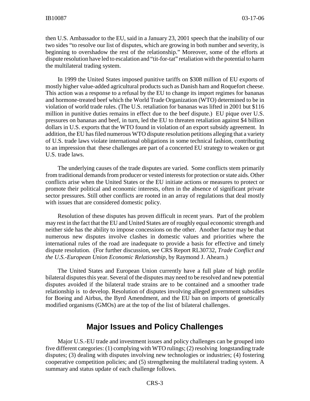then U.S. Ambassador to the EU, said in a January 23, 2001 speech that the inability of our two sides "to resolve our list of disputes, which are growing in both number and severity, is beginning to overshadow the rest of the relationship." Moreover, some of the efforts at dispute resolution have led to escalation and "tit-for-tat" retaliation with the potential to harm the multilateral trading system.

In 1999 the United States imposed punitive tariffs on \$308 million of EU exports of mostly higher value-added agricultural products such as Danish ham and Roquefort cheese. This action was a response to a refusal by the EU to change its import regimes for bananas and hormone-treated beef which the World Trade Organization (WTO) determined to be in violation of world trade rules. (The U.S. retaliation for bananas was lifted in 2001 but \$116 million in punitive duties remains in effect due to the beef dispute.) EU pique over U.S. pressures on bananas and beef, in turn, led the EU to threaten retaliation against \$4 billion dollars in U.S. exports that the WTO found in violation of an export subsidy agreement. In addition, the EU has filed numerous WTO dispute resolution petitions alleging that a variety of U.S. trade laws violate international obligations in some technical fashion, contributing to an impression that these challenges are part of a concerted EU strategy to weaken or gut U.S. trade laws.

The underlying causes of the trade disputes are varied. Some conflicts stem primarily from traditional demands from producer or vested interests for protection or state aids. Other conflicts arise when the United States or the EU initiate actions or measures to protect or promote their political and economic interests, often in the absence of significant private sector pressures. Still other conflicts are rooted in an array of regulations that deal mostly with issues that are considered domestic policy.

Resolution of these disputes has proven difficult in recent years. Part of the problem may rest in the fact that the EU and United States are of roughly equal economic strength and neither side has the ability to impose concessions on the other. Another factor may be that numerous new disputes involve clashes in domestic values and priorities where the international rules of the road are inadequate to provide a basis for effective and timely dispute resolution. (For further discussion, see CRS Report RL30732, *Trade Conflict and the U.S.-European Union Economic Relationship*, by Raymond J. Ahearn.)

The United States and European Union currently have a full plate of high profile bilateral disputes this year. Several of the disputes may need to be resolved and new potential disputes avoided if the bilateral trade strains are to be contained and a smoother trade relationship is to develop. Resolution of disputes involving alleged government subsidies for Boeing and Airbus, the Byrd Amendment, and the EU ban on imports of genetically modified organisms (GMOs) are at the top of the list of bilateral challenges.

# **Major Issues and Policy Challenges**

Major U.S.-EU trade and investment issues and policy challenges can be grouped into five different categories: (1) complying with WTO rulings; (2) resolving longstanding trade disputes; (3) dealing with disputes involving new technologies or industries; (4) fostering cooperative competition policies; and (5) strengthening the multilateral trading system. A summary and status update of each challenge follows.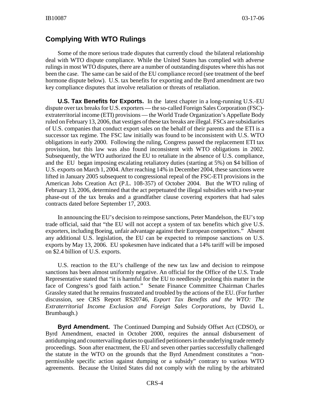# **Complying With WTO Rulings**

Some of the more serious trade disputes that currently cloud the bilateral relationship deal with WTO dispute compliance. While the United States has complied with adverse rulings in most WTO disputes, there are a number of outstanding disputes where this has not been the case. The same can be said of the EU compliance record (see treatment of the beef hormone dispute below). U.S. tax benefits for exporting and the Byrd amendment are two key compliance disputes that involve retaliation or threats of retaliation.

**U.S. Tax Benefits for Exports.** In the latest chapter in a long-running U.S.-EU dispute over tax breaks for U.S. exporters — the so-called Foreign Sales Corporation (FSC) extraterritorial income (ETI) provisions — the World Trade Organization's Appellate Body ruled on February 13, 2006, that vestiges of these tax breaks are illegal. FSCs are subsidiaries of U.S. companies that conduct export sales on the behalf of their parents and the ETI is a successor tax regime. The FSC law initially was found to be inconsistent with U.S. WTO obligations in early 2000. Following the ruling, Congress passed the replacement ETI tax provision, but this law was also found inconsistent with WTO obligations in 2002. Subsequently, the WTO authorized the EU to retaliate in the absence of U.S. compliance, and the EU began imposing escalating retaliatory duties (starting at 5%) on \$4 billion of U.S. exports on March 1, 2004. After reaching 14% in December 2004, these sanctions were lifted in January 2005 subsequent to congressional repeal of the FSC-ETI provisions in the American Jobs Creation Act (P.L. 108-357) of October 2004. But the WTO ruling of February 13, 2006, determined that the act perpetuated the illegal subsidies with a two-year phase-out of the tax breaks and a grandfather clause covering exporters that had sales contracts dated before September 17, 2003.

In announcing the EU's decision to reimpose sanctions, Peter Mandelson, the EU's top trade official, said that "the EU will not accept a system of tax benefits which give U.S. exporters, including Boeing, unfair advantage against their European competitors." Absent any additional U.S. legislation, the EU can be expected to reimpose sanctions on U.S. exports by May 13, 2006. EU spokesmen have indicated that a 14% tariff will be imposed on \$2.4 billion of U.S. exports.

U.S. reaction to the EU's challenge of the new tax law and decision to reimpose sanctions has been almost uniformly negative. An official for the Office of the U.S. Trade Representative stated that "it is harmful for the EU to needlessly prolong this matter in the face of Congress's good faith action." Senate Finance Committee Chairman Charles Grassley stated that he remains frustrated and troubled by the actions of the EU. (For further discussion, see CRS Report RS20746, *Export Tax Benefits and the WTO: The Extraterritorial Income Exclusion and Foreign Sales Corporations*, by David L. Brumbaugh.)

**Byrd Amendment.** The Continued Dumping and Subsidy Offset Act (CDSO), or Byrd Amendment, enacted in October 2000, requires the annual disbursement of antidumping and countervailing duties to qualified petitioners in the underlying trade remedy proceedings. Soon after enactment, the EU and seven other parties successfully challenged the statute in the WTO on the grounds that the Byrd Amendment constitutes a "nonpermissible specific action against dumping or a subsidy" contrary to various WTO agreements. Because the United States did not comply with the ruling by the arbitrated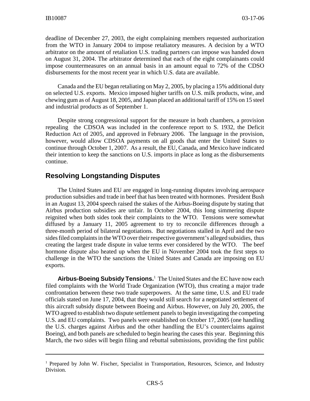deadline of December 27, 2003, the eight complaining members requested authorization from the WTO in January 2004 to impose retaliatory measures. A decision by a WTO arbitrator on the amount of retaliation U.S. trading partners can impose was handed down on August 31, 2004. The arbitrator determined that each of the eight complainants could impose countermeasures on an annual basis in an amount equal to 72% of the CDSO disbursements for the most recent year in which U.S. data are available.

Canada and the EU began retaliating on May 2, 2005, by placing a 15% additional duty on selected U.S. exports. Mexico imposed higher tariffs on U.S. milk products, wine, and chewing gum as of August 18, 2005, and Japan placed an additional tariff of 15% on 15 steel and industrial products as of September 1.

Despite strong congressional support for the measure in both chambers, a provision repealing the CDSOA was included in the conference report to S. 1932, the Deficit Reduction Act of 2005, and approved in February 2006. The language in the provision, however, would allow CDSOA payments on all goods that enter the United States to continue through October 1, 2007. As a result, the EU, Canada, and Mexico have indicated their intention to keep the sanctions on U.S. imports in place as long as the disbursements continue.

#### **Resolving Longstanding Disputes**

The United States and EU are engaged in long-running disputes involving aerospace production subsidies and trade in beef that has been treated with hormones. President Bush in an August 13, 2004 speech raised the stakes of the Airbus-Boeing dispute by stating that Airbus production subsidies are unfair. In October 2004, this long simmering dispute reignited when both sides took their complaints to the WTO. Tensions were somewhat diffused by a January 11, 2005 agreement to try to reconcile differences through a three-month period of bilateral negotiations. But negotiations stalled in April and the two sides filed complaints in the WTO over their respective government's alleged subsidies, thus creating the largest trade dispute in value terms ever considered by the WTO. The beef hormone dispute also heated up when the EU in November 2004 took the first steps to challenge in the WTO the sanctions the United States and Canada are imposing on EU exports.

**Airbus-Boeing Subsidy Tensions.**<sup>1</sup> The United States and the EC have now each filed complaints with the World Trade Organization (WTO), thus creating a major trade confrontation between these two trade superpowers. At the same time, U.S. and EU trade officials stated on June 17, 2004, that they would still search for a negotiated settlement of this aircraft subsidy dispute between Boeing and Airbus. However, on July 20, 2005, the WTO agreed to establish two dispute settlement panels to begin investigating the competing U.S. and EU complaints. Two panels were established on October 17, 2005 (one handling the U.S. charges against Airbus and the other handling the EU's counterclaims against Boeing), and both panels are scheduled to begin hearing the cases this year. Beginning this March, the two sides will begin filing and rebuttal submissions, providing the first public

<sup>&</sup>lt;sup>1</sup> Prepared by John W. Fischer, Specialist in Transportation, Resources, Science, and Industry Division.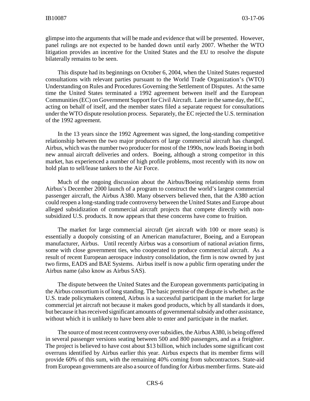glimpse into the arguments that will be made and evidence that will be presented. However, panel rulings are not expected to be handed down until early 2007. Whether the WTO litigation provides an incentive for the United States and the EU to resolve the dispute bilaterally remains to be seen.

This dispute had its beginnings on October 6, 2004, when the United States requested consultations with relevant parties pursuant to the World Trade Organization's (WTO) Understanding on Rules and Procedures Governing the Settlement of Disputes. At the same time the United States terminated a 1992 agreement between itself and the European Communities (EC) on Government Support for Civil Aircraft. Later in the same day, the EC, acting on behalf of itself, and the member states filed a separate request for consultations under the WTO dispute resolution process. Separately, the EC rejected the U.S. termination of the 1992 agreement.

In the 13 years since the 1992 Agreement was signed, the long-standing competitive relationship between the two major producers of large commercial aircraft has changed. Airbus, which was the number two producer for most of the 1990s, now leads Boeing in both new annual aircraft deliveries and orders. Boeing, although a strong competitor in this market, has experienced a number of high profile problems, most recently with its now on hold plan to sell/lease tankers to the Air Force.

Much of the ongoing discussion about the Airbus/Boeing relationship stems from Airbus's December 2000 launch of a program to construct the world's largest commercial passenger aircraft, the Airbus A380. Many observers believed then, that the A380 action could reopen a long-standing trade controversy between the United States and Europe about alleged subsidization of commercial aircraft projects that compete directly with nonsubsidized U.S. products. It now appears that these concerns have come to fruition.

The market for large commercial aircraft (jet aircraft with 100 or more seats) is essentially a duopoly consisting of an American manufacturer, Boeing, and a European manufacturer, Airbus. Until recently Airbus was a consortium of national aviation firms, some with close government ties, who cooperated to produce commercial aircraft. As a result of recent European aerospace industry consolidation, the firm is now owned by just two firms, EADS and BAE Systems. Airbus itself is now a public firm operating under the Airbus name (also know as Airbus SAS).

The dispute between the United States and the European governments participating in the Airbus consortium is of long standing. The basic premise of the dispute is whether, as the U.S. trade policymakers contend, Airbus is a successful participant in the market for large commercial jet aircraft not because it makes good products, which by all standards it does, but because it has received significant amounts of governmental subsidy and other assistance, without which it is unlikely to have been able to enter and participate in the market.

The source of most recent controversy over subsidies, the Airbus A380, is being offered in several passenger versions seating between 500 and 800 passengers, and as a freighter. The project is believed to have cost about \$13 billion, which includes some significant cost overruns identified by Airbus earlier this year. Airbus expects that its member firms will provide 60% of this sum, with the remaining 40% coming from subcontractors. State-aid from European governments are also a source of funding for Airbus member firms. State-aid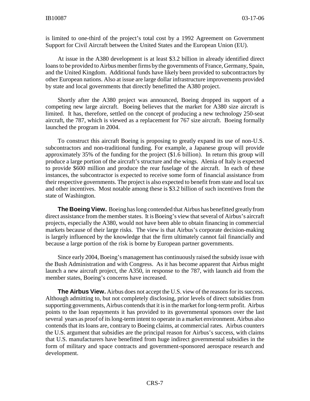is limited to one-third of the project's total cost by a 1992 Agreement on Government Support for Civil Aircraft between the United States and the European Union (EU).

At issue in the A380 development is at least \$3.2 billion in already identified direct loans to be provided to Airbus member firms by the governments of France, Germany, Spain, and the United Kingdom. Additional funds have likely been provided to subcontractors by other European nations. Also at issue are large dollar infrastructure improvements provided by state and local governments that directly benefitted the A380 project.

Shortly after the A380 project was announced, Boeing dropped its support of a competing new large aircraft. Boeing believes that the market for A380 size aircraft is limited. It has, therefore, settled on the concept of producing a new technology 250-seat aircraft, the 787, which is viewed as a replacement for 767 size aircraft. Boeing formally launched the program in 2004.

To construct this aircraft Boeing is proposing to greatly expand its use of non-U.S. subcontractors and non-traditional funding. For example, a Japanese group will provide approximately 35% of the funding for the project (\$1.6 billion). In return this group will produce a large portion of the aircraft's structure and the wings. Alenia of Italy is expected to provide \$600 million and produce the rear fuselage of the aircraft. In each of these instances, the subcontractor is expected to receive some form of financial assistance from their respective governments. The project is also expected to benefit from state and local tax and other incentives. Most notable among these is \$3.2 billion of such incentives from the state of Washington.

**The Boeing View.** Boeing has long contended that Airbus has benefitted greatly from direct assistance from the member states. It is Boeing's view that several of Airbus's aircraft projects, especially the A380, would not have been able to obtain financing in commercial markets because of their large risks. The view is that Airbus's corporate decision-making is largely influenced by the knowledge that the firm ultimately cannot fail financially and because a large portion of the risk is borne by European partner governments.

Since early 2004, Boeing's management has continuously raised the subsidy issue with the Bush Administration and with Congress. As it has become apparent that Airbus might launch a new aircraft project, the A350, in response to the 787, with launch aid from the member states, Boeing's concerns have increased.

**The Airbus View.** Airbus does not accept the U.S. view of the reasons for its success. Although admitting to, but not completely disclosing, prior levels of direct subsidies from supporting governments, Airbus contends that it is in the market for long-term profit. Airbus points to the loan repayments it has provided to its governmental sponsors over the last several years as proof of its long-term intent to operate in a market environment. Airbus also contends that its loans are, contrary to Boeing claims, at commercial rates. Airbus counters the U.S. argument that subsidies are the principal reason for Airbus's success, with claims that U.S. manufacturers have benefitted from huge indirect governmental subsidies in the form of military and space contracts and government-sponsored aerospace research and development.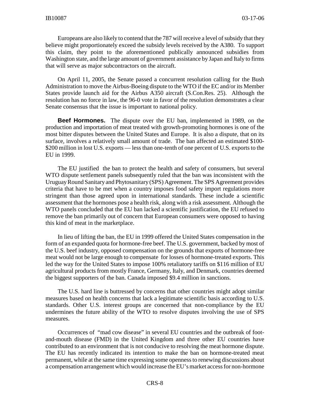Europeans are also likely to contend that the 787 will receive a level of subsidy that they believe might proportionately exceed the subsidy levels received by the A380. To support this claim, they point to the aforementioned publically announced subsidies from Washington state, and the large amount of government assistance by Japan and Italy to firms that will serve as major subcontractors on the aircraft.

On April 11, 2005, the Senate passed a concurrent resolution calling for the Bush Administration to move the Airbus-Boeing dispute to the WTO if the EC and/or its Member States provide launch aid for the Airbus A350 aircraft (S.Con.Res. 25). Although the resolution has no force in law, the 96-0 vote in favor of the resolution demonstrates a clear Senate consensus that the issue is important to national policy.

**Beef Hormones.** The dispute over the EU ban, implemented in 1989, on the production and importation of meat treated with growth-promoting hormones is one of the most bitter disputes between the United States and Europe. It is also a dispute, that on its surface, involves a relatively small amount of trade. The ban affected an estimated \$100- \$200 million in lost U.S. exports — less than one-tenth of one percent of U.S. exports to the EU in 1999.

The EU justified the ban to protect the health and safety of consumers, but several WTO dispute settlement panels subsequently ruled that the ban was inconsistent with the Uruguay Round Sanitary and Phytosanitary (SPS) Agreement. The SPS Agreement provides criteria that have to be met when a country imposes food safety import regulations more stringent than those agreed upon in international standards. These include a scientific assessment that the hormones pose a health risk, along with a risk assessment. Although the WTO panels concluded that the EU ban lacked a scientific justification, the EU refused to remove the ban primarily out of concern that European consumers were opposed to having this kind of meat in the marketplace.

In lieu of lifting the ban, the EU in 1999 offered the United States compensation in the form of an expanded quota for hormone-free beef. The U.S. government, backed by most of the U.S. beef industry, opposed compensation on the grounds that exports of hormone-free meat would not be large enough to compensate for losses of hormone-treated exports. This led the way for the United States to impose 100% retaliatory tariffs on \$116 million of EU agricultural products from mostly France, Germany, Italy, and Denmark, countries deemed the biggest supporters of the ban. Canada imposed \$9.4 million in sanctions.

The U.S. hard line is buttressed by concerns that other countries might adopt similar measures based on health concerns that lack a legitimate scientific basis according to U.S. standards. Other U.S. interest groups are concerned that non-compliance by the EU undermines the future ability of the WTO to resolve disputes involving the use of SPS measures.

Occurrences of "mad cow disease" in several EU countries and the outbreak of footand-mouth disease (FMD) in the United Kingdom and three other EU countries have contributed to an environment that is not conducive to resolving the meat hormone dispute. The EU has recently indicated its intention to make the ban on hormone-treated meat permanent, while at the same time expressing some openness to renewing discussions about a compensation arrangement which would increase the EU's market access for non-hormone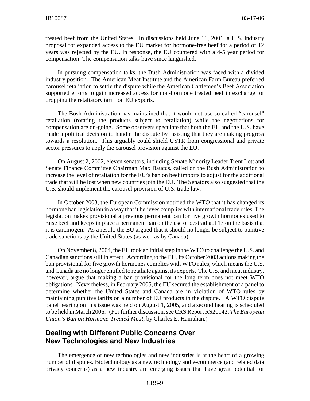treated beef from the United States. In discussions held June 11, 2001, a U.S. industry proposal for expanded access to the EU market for hormone-free beef for a period of 12 years was rejected by the EU. In response, the EU countered with a 4-5 year period for compensation. The compensation talks have since languished.

In pursuing compensation talks, the Bush Administration was faced with a divided industry position. The American Meat Institute and the American Farm Bureau preferred carousel retaliation to settle the dispute while the American Cattlemen's Beef Association supported efforts to gain increased access for non-hormone treated beef in exchange for dropping the retaliatory tariff on EU exports.

The Bush Administration has maintained that it would not use so-called "carousel" retaliation (rotating the products subject to retaliation) while the negotiations for compensation are on-going. Some observers speculate that both the EU and the U.S. have made a political decision to handle the dispute by insisting that they are making progress towards a resolution. This arguably could shield USTR from congressional and private sector pressures to apply the carousel provision against the EU.

On August 2, 2002, eleven senators, including Senate Minority Leader Trent Lott and Senate Finance Committee Chairman Max Baucus, called on the Bush Administration to increase the level of retaliation for the EU's ban on beef imports to adjust for the additional trade that will be lost when new countries join the EU. The Senators also suggested that the U.S. should implement the carousel provision of U.S. trade law.

In October 2003, the European Commission notified the WTO that it has changed its hormone ban legislation in a way that it believes complies with international trade rules. The legislation makes provisional a previous permanent ban for five growth hormones used to raise beef and keeps in place a permanent ban on the use of oestradiaol 17 on the basis that it is carcinogen. As a result, the EU argued that it should no longer be subject to punitive trade sanctions by the United States (as well as by Canada).

On November 8, 2004, the EU took an initial step in the WTO to challenge the U.S. and Canadian sanctions still in effect. According to the EU, its October 2003 actions making the ban provisional for five growth hormones complies with WTO rules, which means the U.S. and Canada are no longer entitled to retaliate against its exports. The U.S. and meat industry, however, argue that making a ban provisional for the long term does not meet WTO obligations. Nevertheless, in February 2005, the EU secured the establishment of a panel to determine whether the United States and Canada are in violation of WTO rules by maintaining punitive tariffs on a number of EU products in the dispute. A WTO dispute panel hearing on this issue was held on August 1, 2005, and a second hearing is scheduled to be held in March 2006. (For further discussion, see CRS Report RS20142, *The European Union's Ban on Hormone-Treated Meat*, by Charles E. Hanrahan.)

### **Dealing with Different Public Concerns Over New Technologies and New Industries**

The emergence of new technologies and new industries is at the heart of a growing number of disputes. Biotechnology as a new technology and e-commerce (and related data privacy concerns) as a new industry are emerging issues that have great potential for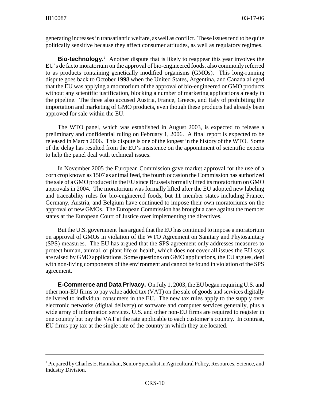generating increases in transatlantic welfare, as well as conflict. These issues tend to be quite politically sensitive because they affect consumer attitudes, as well as regulatory regimes.

**Bio-technology.**<sup>2</sup> Another dispute that is likely to reappear this year involves the EU's de facto moratorium on the approval of bio-engineered foods, also commonly referred to as products containing genetically modified organisms (GMOs). This long-running dispute goes back to October 1998 when the United States, Argentina, and Canada alleged that the EU was applying a moratorium of the approval of bio-engineered or GMO products without any scientific justification, blocking a number of marketing applications already in the pipeline. The three also accused Austria, France, Greece, and Italy of prohibiting the importation and marketing of GMO products, even though these products had already been approved for sale within the EU.

The WTO panel, which was established in August 2003, is expected to release a preliminary and confidential ruling on February 1, 2006. A final report is expected to be released in March 2006. This dispute is one of the longest in the history of the WTO. Some of the delay has resulted from the EU's insistence on the appointment of scientific experts to help the panel deal with technical issues.

In November 2005 the European Commission gave market approval for the use of a corn crop known as 1507 as animal feed, the fourth occasion the Commission has authorized the sale of a GMO produced in the EU since Brussels formally lifted its moratorium on GMO approvals in 2004. The moratorium was formally lifted after the EU adopted new labeling and traceability rules for bio-engineered foods, but 11 member states including France, Germany, Austria, and Belgium have continued to impose their own moratoriums on the approval of new GMOs. The European Commission has brought a case against the member states at the European Court of Justice over implementing the directives.

But the U.S. government has argued that the EU has continued to impose a moratorium on approval of GMOs in violation of the WTO Agreement on Sanitary and Phytosanitary (SPS) measures. The EU has argued that the SPS agreement only addresses measures to protect human, animal, or plant life or health, which does not cover all issues the EU says are raised by GMO applications. Some questions on GMO applications, the EU argues, deal with non-living components of the environment and cannot be found in violation of the SPS agreement.

**E-Commerce and Data Privacy.** On July 1, 2003, the EU began requiring U.S. and other non-EU firms to pay value added tax (VAT) on the sale of goods and services digitally delivered to individual consumers in the EU. The new tax rules apply to the supply over electronic networks (digital delivery) of software and computer services generally, plus a wide array of information services. U.S. and other non-EU firms are required to register in one country but pay the VAT at the rate applicable to each customer's country. In contrast, EU firms pay tax at the single rate of the country in which they are located.

<sup>&</sup>lt;sup>2</sup> Prepared by Charles E. Hanrahan, Senior Specialist in Agricultural Policy, Resources, Science, and Industry Division.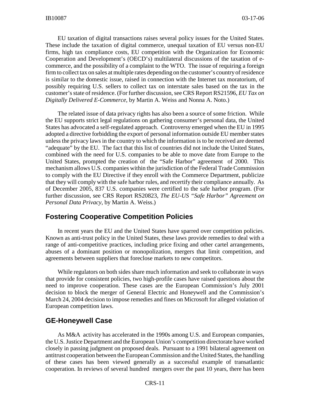EU taxation of digital transactions raises several policy issues for the United States. These include the taxation of digital commerce, unequal taxation of EU versus non-EU firms, high tax compliance costs, EU competition with the Organization for Economic Cooperation and Development's (OECD's) multilateral discussions of the taxation of ecommerce, and the possibility of a complaint to the WTO. The issue of requiring a foreign firm to collect tax on sales at multiple rates depending on the customer's country of residence is similar to the domestic issue, raised in connection with the Internet tax moratorium, of possibly requiring U.S. sellers to collect tax on interstate sales based on the tax in the customer's state of residence. (For further discussion, see CRS Report RS21596, *EU Tax on Digitally Delivered E-Commerce*, by Martin A. Weiss and Nonna A. Noto.)

The related issue of data privacy rights has also been a source of some friction. While the EU supports strict legal regulations on gathering consumer's personal data, the United States has advocated a self-regulated approach. Controversy emerged when the EU in 1995 adopted a directive forbidding the export of personal information outside EU member states unless the privacy laws in the country to which the information is to be received are deemed "adequate" by the EU. The fact that this list of countries did not include the United States, combined with the need for U.S. companies to be able to move date from Europe to the United States, prompted the creation of the "Safe Harbor" agreement of 2000. This mechanism allows U.S. companies within the jurisdiction of the Federal Trade Commission to comply with the EU Directive if they enroll with the Commerce Department, publicize that they will comply with the safe harbor rules, and recertify their compliance annually. As of December 2005, 837 U.S. companies were certified to the safe harbor program. (For further discussion, see CRS Report RS20823, *The EU-US "Safe Harbor" Agreement on Personal Data Privacy*, by Martin A. Weiss.)

#### **Fostering Cooperative Competition Policies**

In recent years the EU and the United States have sparred over competition policies. Known as anti-trust policy in the United States, these laws provide remedies to deal with a range of anti-competitive practices, including price fixing and other cartel arrangements, abuses of a dominant position or monopolization, mergers that limit competition, and agreements between suppliers that foreclose markets to new competitors.

While regulators on both sides share much information and seek to collaborate in ways that provide for consistent policies, two high-profile cases have raised questions about the need to improve cooperation. These cases are the European Commission's July 2001 decision to block the merger of General Electric and Honeywell and the Commission's March 24, 2004 decision to impose remedies and fines on Microsoft for alleged violation of European competition laws.

#### **GE-Honeywell Case**

As M&A activity has accelerated in the 1990s among U.S. and European companies, the U.S. Justice Department and the European Union's competition directorate have worked closely in passing judgment on proposed deals. Pursuant to a 1991 bilateral agreement on antitrust cooperation between the European Commission and the United States, the handling of these cases has been viewed generally as a successful example of transatlantic cooperation. In reviews of several hundred mergers over the past 10 years, there has been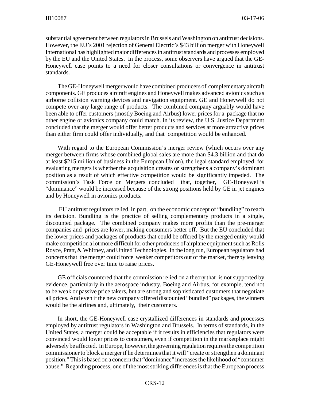substantial agreement between regulators in Brussels and Washington on antitrust decisions. However, the EU's 2001 rejection of General Electric's \$43 billion merger with Honeywell International has highlighted major differences in antitrust standards and processes employed by the EU and the United States. In the process, some observers have argued that the GE-Honeywell case points to a need for closer consultations or convergence in antitrust standards.

The GE-Honeywell merger would have combined producers of complementary aircraft components. GE produces aircraft engines and Honeywell makes advanced avionics such as airborne collision warning devices and navigation equipment. GE and Honeywell do not compete over any large range of products. The combined company arguably would have been able to offer customers (mostly Boeing and Airbus) lower prices for a package that no other engine or avionics company could match. In its review, the U.S. Justice Department concluded that the merger would offer better products and services at more attractive prices than either firm could offer individually, and that competition would be enhanced.

With regard to the European Commission's merger review (which occurs over any merger between firms whose combined global sales are more than \$4.3 billion and that do at least \$215 million of business in the European Union), the legal standard employed for evaluating mergers is whether the acquisition creates or strengthens a company's dominant position as a result of which effective competition would be significantly impeded. The commission's Task Force on Mergers concluded that, together, GE-Honeywell's "dominance" would be increased because of the strong positions held by GE in jet engines and by Honeywell in avionics products.

 EU antitrust regulators relied, in part, on the economic concept of "bundling" to reach its decision. Bundling is the practice of selling complementary products in a single, discounted package. The combined company makes more profits than the pre-merger companies and prices are lower, making consumers better off. But the EU concluded that the lower prices and packages of products that could be offered by the merged entity would make competition a lot more difficult for other producers of airplane equipment such as Rolls Royce, Pratt, & Whitney, and United Technologies. In the long run, European regulators had concerns that the merger could force weaker competitors out of the market, thereby leaving GE-Honeywell free over time to raise prices.

GE officials countered that the commission relied on a theory that is not supported by evidence, particularly in the aerospace industry. Boeing and Airbus, for example, tend not to be weak or passive price takers, but are strong and sophisticated customers that negotiate all prices. And even if the new company offered discounted "bundled" packages, the winners would be the airlines and, ultimately, their customers.

In short, the GE-Honeywell case crystallized differences in standards and processes employed by antitrust regulators in Washington and Brussels. In terms of standards, in the United States, a merger could be acceptable if it results in efficiencies that regulators were convinced would lower prices to consumers, even if competition in the marketplace might adversely be affected. In Europe, however, the governing regulation requires the competition commissioner to block a merger if he determines that it will "create or strengthen a dominant position." This is based on a concern that "dominance" increases the likelihood of "consumer abuse." Regarding process, one of the most striking differences is that the European process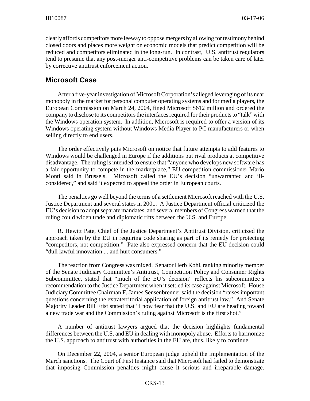clearly affords competitors more leeway to oppose mergers by allowing for testimony behind closed doors and places more weight on economic models that predict competition will be reduced and competitors eliminated in the long-run. In contrast, U.S. antitrust regulators tend to presume that any post-merger anti-competitive problems can be taken care of later by corrective antitrust enforcement action.

### **Microsoft Case**

After a five-year investigation of Microsoft Corporation's alleged leveraging of its near monopoly in the market for personal computer operating systems and for media players, the European Commission on March 24, 2004, fined Microsoft \$612 million and ordered the company to disclose to its competitors the interfaces required for their products to "talk" with the Windows operation system. In addition, Microsoft is required to offer a version of its Windows operating system without Windows Media Player to PC manufacturers or when selling directly to end users.

The order effectively puts Microsoft on notice that future attempts to add features to Windows would be challenged in Europe if the additions put rival products at competitive disadvantage. The ruling is intended to ensure that "anyone who develops new software has a fair opportunity to compete in the marketplace," EU competition commissioner Mario Monti said in Brussels. Microsoft called the EU's decision "unwarranted and illconsidered," and said it expected to appeal the order in European courts.

The penalties go well beyond the terms of a settlement Microsoft reached with the U.S. Justice Department and several states in 2001. A Justice Department official criticized the EU's decision to adopt separate mandates, and several members of Congress warned that the ruling could widen trade and diplomatic rifts between the U.S. and Europe.

R. Hewitt Pate, Chief of the Justice Department's Antitrust Division, criticized the approach taken by the EU in requiring code sharing as part of its remedy for protecting "competitors, not competition." Pate also expressed concern that the EU decision could "dull lawful innovation ... and hurt consumers."

The reaction from Congress was mixed. Senator Herb Kohl, ranking minority member of the Senate Judiciary Committee's Antitrust, Competition Policy and Consumer Rights Subcommittee, stated that "much of the EU's decision" reflects his subcommittee's recommendation to the Justice Department when it settled its case against Microsoft. House Judiciary Committee Chairman F. James Sensenbrenner said the decision "raises important questions concerning the extraterritorial application of foreign antitrust law." And Senate Majority Leader Bill Frist stated that "I now fear that the U.S. and EU are heading toward a new trade war and the Commission's ruling against Microsoft is the first shot."

A number of antitrust lawyers argued that the decision highlights fundamental differences between the U.S. and EU in dealing with monopoly abuse. Efforts to harmonize the U.S. approach to antitrust with authorities in the EU are, thus, likely to continue.

On December 22, 2004, a senior European judge upheld the implementation of the March sanctions. The Court of First Instance said that Microsoft had failed to demonstrate that imposing Commission penalties might cause it serious and irreparable damage.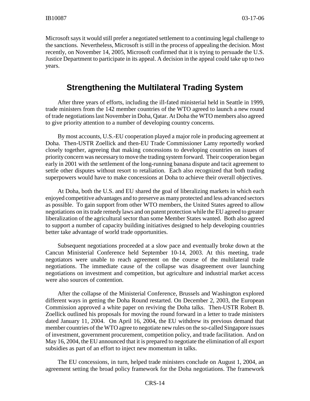Microsoft says it would still prefer a negotiated settlement to a continuing legal challenge to the sanctions. Nevertheless, Microsoft is still in the process of appealing the decision. Most recently, on November 14, 2005, Microsoft confirmed that it is trying to persuade the U.S. Justice Department to participate in its appeal. A decision in the appeal could take up to two years.

# **Strengthening the Multilateral Trading System**

After three years of efforts, including the ill-fated ministerial held in Seattle in 1999, trade ministers from the 142 member countries of the WTO agreed to launch a new round of trade negotiations last November in Doha, Qatar. At Doha the WTO members also agreed to give priority attention to a number of developing country concerns.

By most accounts, U.S.-EU cooperation played a major role in producing agreement at Doha. Then-USTR Zoellick and then-EU Trade Commissioner Lamy reportedly worked closely together, agreeing that making concessions to developing countries on issues of priority concern was necessary to move the trading system forward. Their cooperation began early in 2001 with the settlement of the long-running banana dispute and tacit agreement to settle other disputes without resort to retaliation. Each also recognized that both trading superpowers would have to make concessions at Doha to achieve their overall objectives.

At Doha, both the U.S. and EU shared the goal of liberalizing markets in which each enjoyed competitive advantages and to preserve as many protected and less advanced sectors as possible. To gain support from other WTO members, the United States agreed to allow negotiations on its trade remedy laws and on patent protection while the EU agreed to greater liberalization of the agricultural sector than some Member States wanted. Both also agreed to support a number of capacity building initiatives designed to help developing countries better take advantage of world trade opportunities.

Subsequent negotiations proceeded at a slow pace and eventually broke down at the Cancun Ministerial Conference held September 10-14, 2003. At this meeting, trade negotiators were unable to reach agreement on the course of the multilateral trade negotiations. The immediate cause of the collapse was disagreement over launching negotiations on investment and competition, but agriculture and industrial market access were also sources of contention.

After the collapse of the Ministerial Conference, Brussels and Washington explored different ways in getting the Doha Round restarted. On December 2, 2003, the European Commission approved a white paper on reviving the Doha talks. Then-USTR Robert B. Zoellick outlined his proposals for moving the round forward in a letter to trade ministers dated January 11, 2004. On April 16, 2004, the EU withdrew its previous demand that member countries of the WTO agree to negotiate new rules on the so-called Singapore issues of investment, government procurement, competition policy, and trade facilitation. And on May 16, 2004, the EU announced that it is prepared to negotiate the elimination of all export subsidies as part of an effort to inject new momentum in talks.

The EU concessions, in turn, helped trade ministers conclude on August 1, 2004, an agreement setting the broad policy framework for the Doha negotiations. The framework